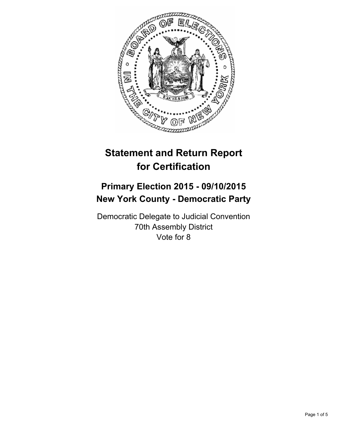

# **Statement and Return Report for Certification**

## **Primary Election 2015 - 09/10/2015 New York County - Democratic Party**

Democratic Delegate to Judicial Convention 70th Assembly District Vote for 8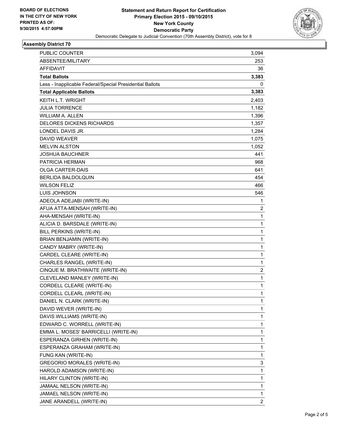

## **Assembly District 70**

| <b>PUBLIC COUNTER</b>                                    | 3,094                   |
|----------------------------------------------------------|-------------------------|
| ABSENTEE/MILITARY                                        | 253                     |
| AFFIDAVIT                                                | 36                      |
| <b>Total Ballots</b>                                     | 3,383                   |
| Less - Inapplicable Federal/Special Presidential Ballots | 0                       |
| <b>Total Applicable Ballots</b>                          | 3,383                   |
| <b>KEITH L.T. WRIGHT</b>                                 | 2,403                   |
| <b>JULIA TORRENCE</b>                                    | 1,182                   |
| <b>WILLIAM A. ALLEN</b>                                  | 1,396                   |
| <b>DELORES DICKENS RICHARDS</b>                          | 1,357                   |
| LONDEL DAVIS JR.                                         | 1,284                   |
| <b>DAVID WEAVER</b>                                      | 1,075                   |
| <b>MELVIN ALSTON</b>                                     | 1,052                   |
| <b>JOSHUA BAUCHNER</b>                                   | 441                     |
| <b>PATRICIA HERMAN</b>                                   | 968                     |
| <b>OLGA CARTER-DAIS</b>                                  | 641                     |
| BERLIDA BALDOLQUIN                                       | 454                     |
| <b>WILSON FELIZ</b>                                      | 466                     |
| LUIS JOHNSON                                             | 546                     |
| ADEOLA ADEJABI (WRITE-IN)                                | 1                       |
| AFUA ATTA-MENSAH (WRITE-IN)                              | 2                       |
| AHA-MENSAH (WRITE-IN)                                    | 1                       |
| ALICIA D. BARSDALE (WRITE-IN)                            | $\mathbf{1}$            |
| BILL PERKINS (WRITE-IN)                                  | 1                       |
| BRIAN BENJAMIN (WRITE-IN)                                | 1                       |
| CANDY MABRY (WRITE-IN)                                   | $\mathbf{1}$            |
| CARDEL CLEARE (WRITE-IN)                                 | 1                       |
| CHARLES RANGEL (WRITE-IN)                                | 1                       |
| CINQUE M. BRATHWAITE (WRITE-IN)                          | $\overline{\mathbf{c}}$ |
| CLEVELAND MANLEY (WRITE-IN)                              | 1                       |
| CORDELL CLEARE (WRITE-IN)                                | 1                       |
| CORDELL CLEARL (WRITE-IN)                                | $\mathbf{1}$            |
| DANIEL N. CLARK (WRITE-IN)                               | 1                       |
| DAVID WEVER (WRITE-IN)                                   | 1                       |
| DAVIS WILLIAMS (WRITE-IN)                                | 1                       |
| EDWARD C. WORRELL (WRITE-IN)                             | 1                       |
| EMMA L. MOSES' BARRICELLI (WRITE-IN)                     | 1                       |
| ESPERANZA GIRHEN (WRITE-IN)                              | 1                       |
| ESPERANZA GRAHAM (WRITE-IN)                              | 1                       |
| FUNG KAN (WRITE-IN)                                      | 1                       |
| <b>GREGORIO MORALES (WRITE-IN)</b>                       | 3                       |
| HAROLD ADAMSON (WRITE-IN)                                | 1                       |
| HILARY CLINTON (WRITE-IN)                                | 1                       |
| JAMAAL NELSON (WRITE-IN)                                 | 1                       |
| JAMAEL NELSON (WRITE-IN)                                 | 1                       |
| JANE ARANDELL (WRITE-IN)                                 | 2                       |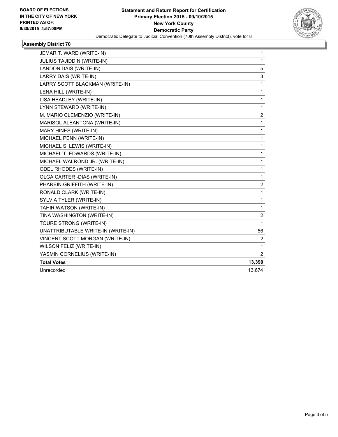

### **Assembly District 70**

| JEMAR T. WARD (WRITE-IN)           | 1                       |
|------------------------------------|-------------------------|
| JULIUS TAJIDDIN (WRITE-IN)         | $\mathbf{1}$            |
| LANDON DAIS (WRITE-IN)             | 5                       |
| LARRY DAIS (WRITE-IN)              | 3                       |
| LARRY SCOTT BLACKMAN (WRITE-IN)    | 1                       |
| LENA HILL (WRITE-IN)               | $\mathbf{1}$            |
| LISA HEADLEY (WRITE-IN)            | $\mathbf{1}$            |
| LYNN STEWARD (WRITE-IN)            | 1                       |
| M. MARIO CLEMENZIO (WRITE-IN)      | $\overline{\mathbf{c}}$ |
| MARISOL ALEANTONA (WRITE-IN)       | 1                       |
| MARY HINES (WRITE-IN)              | 1                       |
| MICHAEL PENN (WRITE-IN)            | 1                       |
| MICHAEL S. LEWIS (WRITE-IN)        | $\mathbf{1}$            |
| MICHAEL T. EDWARDS (WRITE-IN)      | 1                       |
| MICHAEL WALROND JR. (WRITE-IN)     | 1                       |
| <b>ODEL RHODES (WRITE-IN)</b>      | $\mathbf{1}$            |
| OLGA CARTER - DIAS (WRITE-IN)      | $\mathbf 1$             |
| PHAREIN GRIFFITH (WRITE-IN)        | 2                       |
| RONALD CLARK (WRITE-IN)            | 1                       |
| SYLVIA TYLER (WRITE-IN)            | $\mathbf 1$             |
| TAHIR WATSON (WRITE-IN)            | 1                       |
| TINA WASHINGTON (WRITE-IN)         | 2                       |
| TOURE STRONG (WRITE-IN)            | $\mathbf{1}$            |
| UNATTRIBUTABLE WRITE-IN (WRITE-IN) | 56                      |
| VINCENT SCOTT MORGAN (WRITE-IN)    | 2                       |
| WILSON FELIZ (WRITE-IN)            | $\mathbf{1}$            |
| YASMIN CORNELIUS (WRITE-IN)        | $\overline{2}$          |
| <b>Total Votes</b>                 | 13,390                  |
| Unrecorded                         | 13,674                  |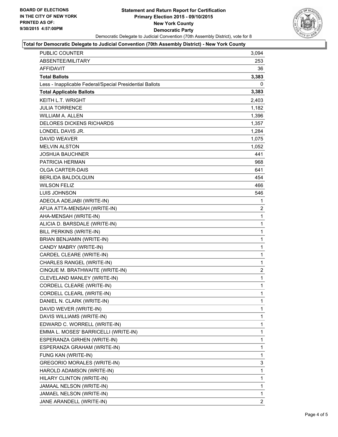

#### **Total for Democratic Delegate to Judicial Convention (70th Assembly District) - New York County**

| <b>PUBLIC COUNTER</b>                                    | 3,094          |
|----------------------------------------------------------|----------------|
| <b>ABSENTEE/MILITARY</b>                                 | 253            |
| AFFIDAVIT                                                | 36             |
| Total Ballots                                            | 3,383          |
| Less - Inapplicable Federal/Special Presidential Ballots | 0              |
| <b>Total Applicable Ballots</b>                          | 3,383          |
| <b>KEITH L.T. WRIGHT</b>                                 | 2,403          |
| <b>JULIA TORRENCE</b>                                    | 1,182          |
| <b>WILLIAM A. ALLEN</b>                                  | 1,396          |
| <b>DELORES DICKENS RICHARDS</b>                          | 1,357          |
| LONDEL DAVIS JR.                                         | 1,284          |
| <b>DAVID WEAVER</b>                                      | 1,075          |
| <b>MELVIN ALSTON</b>                                     | 1,052          |
| <b>JOSHUA BAUCHNER</b>                                   | 441            |
| <b>PATRICIA HERMAN</b>                                   | 968            |
| OLGA CARTER-DAIS                                         | 641            |
| <b>BERLIDA BALDOLQUIN</b>                                | 454            |
| <b>WILSON FELIZ</b>                                      | 466            |
| <b>LUIS JOHNSON</b>                                      | 546            |
| ADEOLA ADEJABI (WRITE-IN)                                | 1              |
| AFUA ATTA-MENSAH (WRITE-IN)                              | $\overline{2}$ |
| AHA-MENSAH (WRITE-IN)                                    | 1              |
| ALICIA D. BARSDALE (WRITE-IN)                            | 1              |
| BILL PERKINS (WRITE-IN)                                  | 1              |
| BRIAN BENJAMIN (WRITE-IN)                                | 1              |
| CANDY MABRY (WRITE-IN)                                   | 1              |
| CARDEL CLEARE (WRITE-IN)                                 | $\mathbf{1}$   |
| CHARLES RANGEL (WRITE-IN)                                | 1              |
| CINQUE M. BRATHWAITE (WRITE-IN)                          | $\overline{2}$ |
| CLEVELAND MANLEY (WRITE-IN)                              | 1              |
| CORDELL CLEARE (WRITE-IN)                                | 1              |
| CORDELL CLEARL (WRITE-IN)                                | 1              |
| DANIEL N. CLARK (WRITE-IN)                               | 1              |
| DAVID WEVER (WRITE-IN)                                   | 1              |
| DAVIS WILLIAMS (WRITE-IN)                                | 1              |
| EDWARD C. WORRELL (WRITE-IN)                             | 1              |
| EMMA L. MOSES' BARRICELLI (WRITE-IN)                     | 1              |
| ESPERANZA GIRHEN (WRITE-IN)                              | 1              |
| ESPERANZA GRAHAM (WRITE-IN)                              | 1              |
| FUNG KAN (WRITE-IN)                                      | 1              |
| <b>GREGORIO MORALES (WRITE-IN)</b>                       | 3              |
| HAROLD ADAMSON (WRITE-IN)                                | 1              |
| HILARY CLINTON (WRITE-IN)                                | 1              |
| JAMAAL NELSON (WRITE-IN)                                 | 1              |
| JAMAEL NELSON (WRITE-IN)                                 | 1              |
| JANE ARANDELL (WRITE-IN)                                 | $\overline{2}$ |